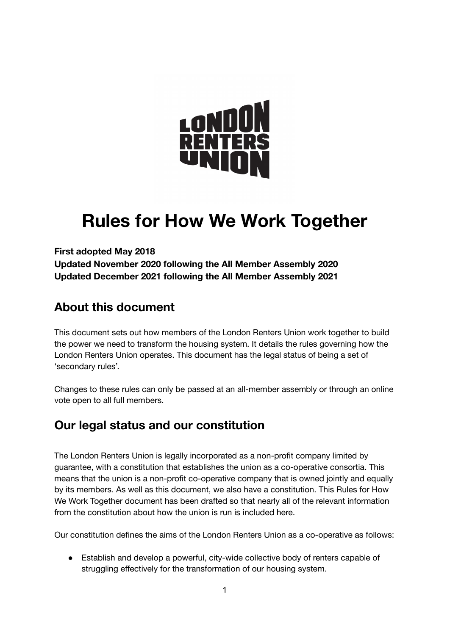

# **Rules for How We Work Together**

**First adopted May 2018 Updated November 2020 following the All Member Assembly 2020 Updated December 2021 following the All Member Assembly 2021**

# **About this document**

This document sets out how members of the London Renters Union work together to build the power we need to transform the housing system. It details the rules governing how the London Renters Union operates. This document has the legal status of being a set of 'secondary rules'.

Changes to these rules can only be passed at an all-member assembly or through an online vote open to all full members.

# **Our legal status and our constitution**

The London Renters Union is legally incorporated as a non-profit company limited by guarantee, with a constitution that establishes the union as a co-operative consortia. This means that the union is a non-profit co-operative company that is owned jointly and equally by its members. As well as this document, we also have a constitution. This Rules for How We Work Together document has been drafted so that nearly all of the relevant information from the constitution about how the union is run is included here.

Our constitution defines the aims of the London Renters Union as a co-operative as follows:

● Establish and develop a powerful, city-wide collective body of renters capable of struggling effectively for the transformation of our housing system.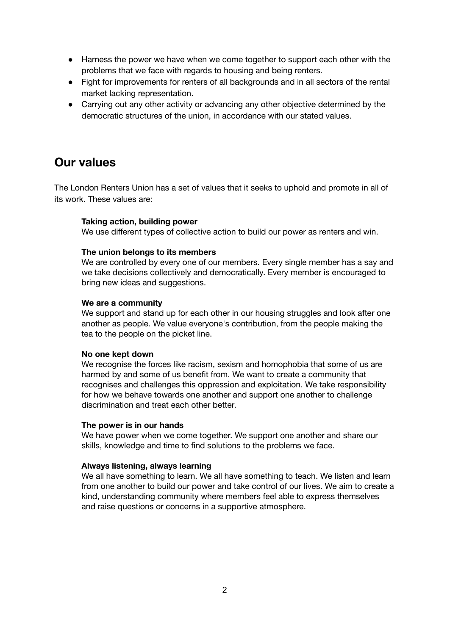- Harness the power we have when we come together to support each other with the problems that we face with regards to housing and being renters.
- Fight for improvements for renters of all backgrounds and in all sectors of the rental market lacking representation.
- Carrying out any other activity or advancing any other objective determined by the democratic structures of the union, in accordance with our stated values.

### **Our values**

The London Renters Union has a set of values that it seeks to uphold and promote in all of its work. These values are:

#### **Taking action, building power**

We use different types of collective action to build our power as renters and win.

#### **The union belongs to its members**

We are controlled by every one of our members. Every single member has a say and we take decisions collectively and democratically. Every member is encouraged to bring new ideas and suggestions.

#### **We are a community**

We support and stand up for each other in our housing struggles and look after one another as people. We value everyone's contribution, from the people making the tea to the people on the picket line.

#### **No one kept down**

We recognise the forces like racism, sexism and homophobia that some of us are harmed by and some of us benefit from. We want to create a community that recognises and challenges this oppression and exploitation. We take responsibility for how we behave towards one another and support one another to challenge discrimination and treat each other better.

#### **The power is in our hands**

We have power when we come together. We support one another and share our skills, knowledge and time to find solutions to the problems we face.

#### **Always listening, always learning**

We all have something to learn. We all have something to teach. We listen and learn from one another to build our power and take control of our lives. We aim to create a kind, understanding community where members feel able to express themselves and raise questions or concerns in a supportive atmosphere.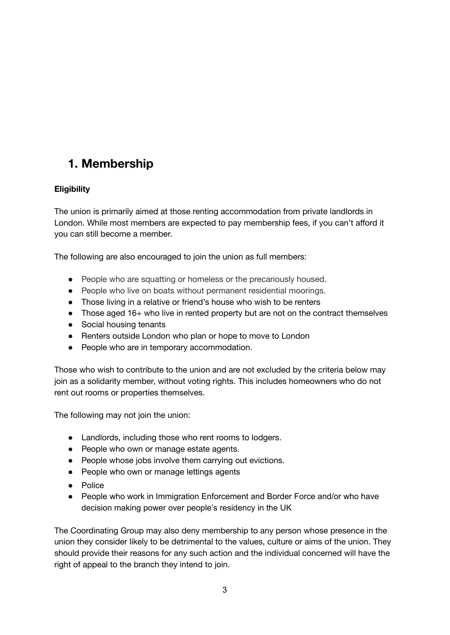# **1. Membership**

#### **Eligibility**

The union is primarily aimed at those renting accommodation from private landlords in London. While most members are expected to pay membership fees, if you can't afford it you can still become a member.

The following are also encouraged to join the union as full members:

- People who are squatting or homeless or the precariously housed.
- People who live on boats without permanent residential moorings.
- Those living in a relative or friend's house who wish to be renters
- Those aged 16+ who live in rented property but are not on the contract themselves
- Social housing tenants
- Renters outside London who plan or hope to move to London
- People who are in temporary accommodation.

Those who wish to contribute to the union and are not excluded by the criteria below may join as a solidarity member, without voting rights. This includes homeowners who do not rent out rooms or properties themselves.

The following may not join the union:

- Landlords, including those who rent rooms to lodgers.
- People who own or manage estate agents.
- People whose jobs involve them carrying out evictions.
- People who own or manage lettings agents
- Police
- People who work in Immigration Enforcement and Border Force and/or who have decision making power over people's residency in the UK

The Coordinating Group may also deny membership to any person whose presence in the union they consider likely to be detrimental to the values, culture or aims of the union. They should provide their reasons for any such action and the individual concerned will have the right of appeal to the branch they intend to join.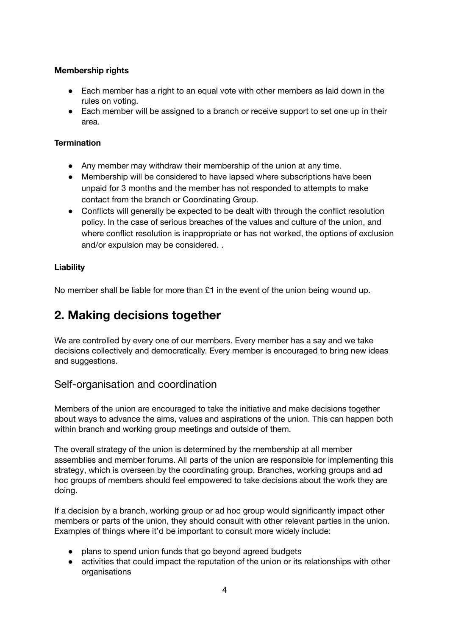#### **Membership rights**

- Each member has a right to an equal vote with other members as laid down in the rules on voting.
- Each member will be assigned to a branch or receive support to set one up in their area.

#### **Termination**

- Any member may withdraw their membership of the union at any time.
- Membership will be considered to have lapsed where subscriptions have been unpaid for 3 months and the member has not responded to attempts to make contact from the branch or Coordinating Group.
- Conflicts will generally be expected to be dealt with through the conflict resolution policy. In the case of serious breaches of the values and culture of the union, and where conflict resolution is inappropriate or has not worked, the options of exclusion and/or expulsion may be considered. .

#### **Liability**

No member shall be liable for more than  $£1$  in the event of the union being wound up.

# **2. Making decisions together**

We are controlled by every one of our members. Every member has a say and we take decisions collectively and democratically. Every member is encouraged to bring new ideas and suggestions.

#### Self-organisation and coordination

Members of the union are encouraged to take the initiative and make decisions together about ways to advance the aims, values and aspirations of the union. This can happen both within branch and working group meetings and outside of them.

The overall strategy of the union is determined by the membership at all member assemblies and member forums. All parts of the union are responsible for implementing this strategy, which is overseen by the coordinating group. Branches, working groups and ad hoc groups of members should feel empowered to take decisions about the work they are doing.

If a decision by a branch, working group or ad hoc group would significantly impact other members or parts of the union, they should consult with other relevant parties in the union. Examples of things where it'd be important to consult more widely include:

- plans to spend union funds that go beyond agreed budgets
- activities that could impact the reputation of the union or its relationships with other **organisations**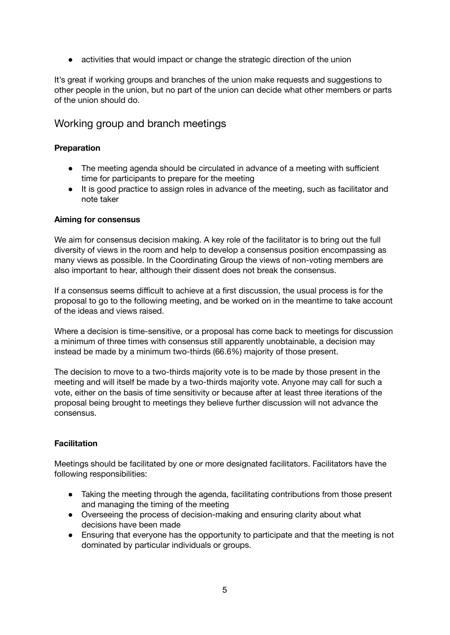● activities that would impact or change the strategic direction of the union

It's great if working groups and branches of the union make requests and suggestions to other people in the union, but no part of the union can decide what other members or parts of the union should do.

#### Working group and branch meetings

#### **Preparation**

- The meeting agenda should be circulated in advance of a meeting with sufficient time for participants to prepare for the meeting
- It is good practice to assign roles in advance of the meeting, such as facilitator and note taker

#### **Aiming for consensus**

We aim for consensus decision making. A key role of the facilitator is to bring out the full diversity of views in the room and help to develop a consensus position encompassing as many views as possible. In the Coordinating Group the views of non-voting members are also important to hear, although their dissent does not break the consensus.

If a consensus seems difficult to achieve at a first discussion, the usual process is for the proposal to go to the following meeting, and be worked on in the meantime to take account of the ideas and views raised.

Where a decision is time-sensitive, or a proposal has come back to meetings for discussion a minimum of three times with consensus still apparently unobtainable, a decision may instead be made by a minimum two-thirds (66.6%) majority of those present.

The decision to move to a two-thirds majority vote is to be made by those present in the meeting and will itself be made by a two-thirds majority vote. Anyone may call for such a vote, either on the basis of time sensitivity or because after at least three iterations of the proposal being brought to meetings they believe further discussion will not advance the consensus.

#### **Facilitation**

Meetings should be facilitated by one or more designated facilitators. Facilitators have the following responsibilities:

- Taking the meeting through the agenda, facilitating contributions from those present and managing the timing of the meeting
- Overseeing the process of decision-making and ensuring clarity about what decisions have been made
- Ensuring that everyone has the opportunity to participate and that the meeting is not dominated by particular individuals or groups.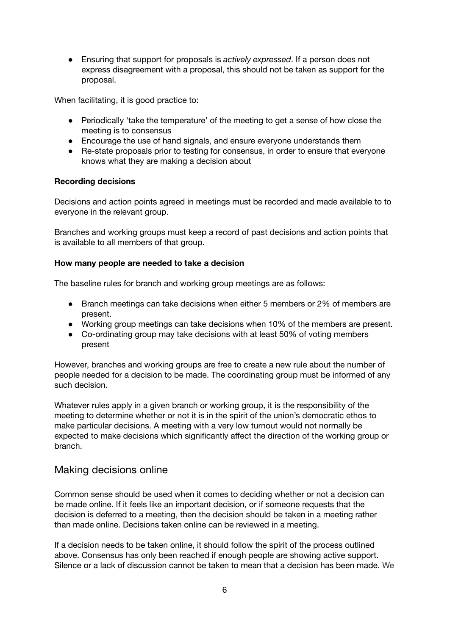● Ensuring that support for proposals is *actively expressed*. If a person does not express disagreement with a proposal, this should not be taken as support for the proposal.

When facilitating, it is good practice to:

- Periodically 'take the temperature' of the meeting to get a sense of how close the meeting is to consensus
- Encourage the use of hand signals, and ensure everyone understands them
- Re-state proposals prior to testing for consensus, in order to ensure that everyone knows what they are making a decision about

#### **Recording decisions**

Decisions and action points agreed in meetings must be recorded and made available to to everyone in the relevant group.

Branches and working groups must keep a record of past decisions and action points that is available to all members of that group.

#### **How many people are needed to take a decision**

The baseline rules for branch and working group meetings are as follows:

- Branch meetings can take decisions when either 5 members or 2% of members are present.
- Working group meetings can take decisions when 10% of the members are present.
- Co-ordinating group may take decisions with at least 50% of voting members present

However, branches and working groups are free to create a new rule about the number of people needed for a decision to be made. The coordinating group must be informed of any such decision.

Whatever rules apply in a given branch or working group, it is the responsibility of the meeting to determine whether or not it is in the spirit of the union's democratic ethos to make particular decisions. A meeting with a very low turnout would not normally be expected to make decisions which significantly affect the direction of the working group or branch.

#### Making decisions online

Common sense should be used when it comes to deciding whether or not a decision can be made online. If it feels like an important decision, or if someone requests that the decision is deferred to a meeting, then the decision should be taken in a meeting rather than made online. Decisions taken online can be reviewed in a meeting.

If a decision needs to be taken online, it should follow the spirit of the process outlined above. Consensus has only been reached if enough people are showing active support. Silence or a lack of discussion cannot be taken to mean that a decision has been made. We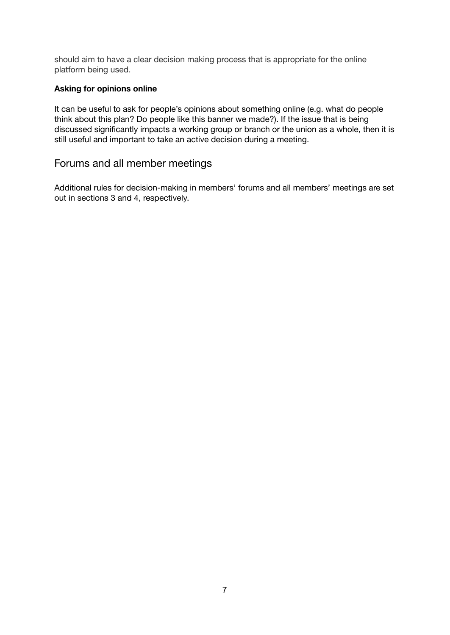should aim to have a clear decision making process that is appropriate for the online platform being used.

#### **Asking for opinions online**

It can be useful to ask for people's opinions about something online (e.g. what do people think about this plan? Do people like this banner we made?). If the issue that is being discussed significantly impacts a working group or branch or the union as a whole, then it is still useful and important to take an active decision during a meeting.

#### Forums and all member meetings

Additional rules for decision-making in members' forums and all members' meetings are set out in sections 3 and 4, respectively.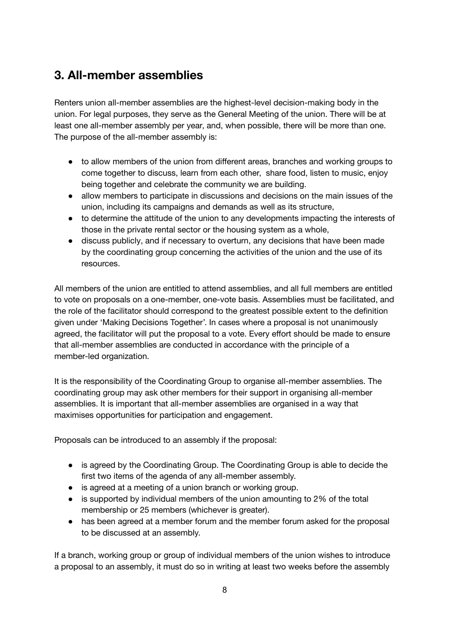# **3. All-member assemblies**

Renters union all-member assemblies are the highest-level decision-making body in the union. For legal purposes, they serve as the General Meeting of the union. There will be at least one all-member assembly per year, and, when possible, there will be more than one. The purpose of the all-member assembly is:

- to allow members of the union from different areas, branches and working groups to come together to discuss, learn from each other, share food, listen to music, enjoy being together and celebrate the community we are building.
- allow members to participate in discussions and decisions on the main issues of the union, including its campaigns and demands as well as its structure,
- to determine the attitude of the union to any developments impacting the interests of those in the private rental sector or the housing system as a whole,
- discuss publicly, and if necessary to overturn, any decisions that have been made by the coordinating group concerning the activities of the union and the use of its resources.

All members of the union are entitled to attend assemblies, and all full members are entitled to vote on proposals on a one-member, one-vote basis. Assemblies must be facilitated, and the role of the facilitator should correspond to the greatest possible extent to the definition given under 'Making Decisions Together'. In cases where a proposal is not unanimously agreed, the facilitator will put the proposal to a vote. Every effort should be made to ensure that all-member assemblies are conducted in accordance with the principle of a member-led organization.

It is the responsibility of the Coordinating Group to organise all-member assemblies. The coordinating group may ask other members for their support in organising all-member assemblies. It is important that all-member assemblies are organised in a way that maximises opportunities for participation and engagement.

Proposals can be introduced to an assembly if the proposal:

- is agreed by the Coordinating Group. The Coordinating Group is able to decide the first two items of the agenda of any all-member assembly.
- is agreed at a meeting of a union branch or working group.
- is supported by individual members of the union amounting to 2% of the total membership or 25 members (whichever is greater).
- has been agreed at a member forum and the member forum asked for the proposal to be discussed at an assembly.

If a branch, working group or group of individual members of the union wishes to introduce a proposal to an assembly, it must do so in writing at least two weeks before the assembly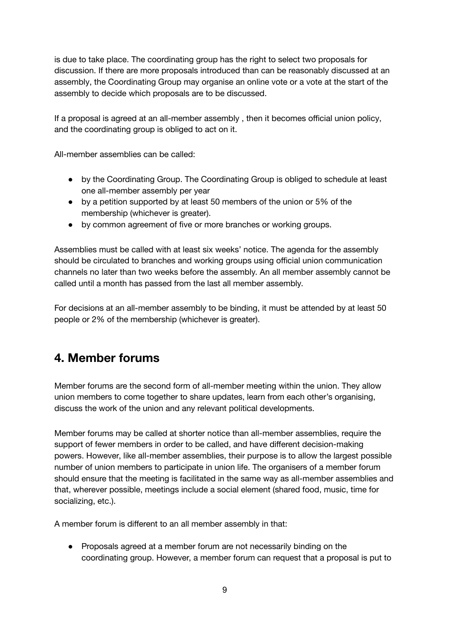is due to take place. The coordinating group has the right to select two proposals for discussion. If there are more proposals introduced than can be reasonably discussed at an assembly, the Coordinating Group may organise an online vote or a vote at the start of the assembly to decide which proposals are to be discussed.

If a proposal is agreed at an all-member assembly , then it becomes official union policy, and the coordinating group is obliged to act on it.

All-member assemblies can be called:

- by the Coordinating Group. The Coordinating Group is obliged to schedule at least one all-member assembly per year
- by a petition supported by at least 50 members of the union or 5% of the membership (whichever is greater).
- by common agreement of five or more branches or working groups.

Assemblies must be called with at least six weeks' notice. The agenda for the assembly should be circulated to branches and working groups using official union communication channels no later than two weeks before the assembly. An all member assembly cannot be called until a month has passed from the last all member assembly.

For decisions at an all-member assembly to be binding, it must be attended by at least 50 people or 2% of the membership (whichever is greater).

# **4. Member forums**

Member forums are the second form of all-member meeting within the union. They allow union members to come together to share updates, learn from each other's organising, discuss the work of the union and any relevant political developments.

Member forums may be called at shorter notice than all-member assemblies, require the support of fewer members in order to be called, and have different decision-making powers. However, like all-member assemblies, their purpose is to allow the largest possible number of union members to participate in union life. The organisers of a member forum should ensure that the meeting is facilitated in the same way as all-member assemblies and that, wherever possible, meetings include a social element (shared food, music, time for socializing, etc.).

A member forum is different to an all member assembly in that:

● Proposals agreed at a member forum are not necessarily binding on the coordinating group. However, a member forum can request that a proposal is put to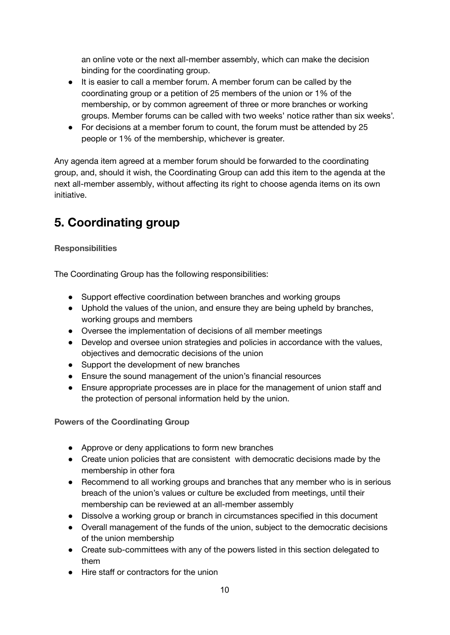an online vote or the next all-member assembly, which can make the decision binding for the coordinating group.

- It is easier to call a member forum. A member forum can be called by the coordinating group or a petition of 25 members of the union or 1% of the membership, or by common agreement of three or more branches or working groups. Member forums can be called with two weeks' notice rather than six weeks'.
- For decisions at a member forum to count, the forum must be attended by 25 people or 1% of the membership, whichever is greater.

Any agenda item agreed at a member forum should be forwarded to the coordinating group, and, should it wish, the Coordinating Group can add this item to the agenda at the next all-member assembly, without affecting its right to choose agenda items on its own initiative.

# **5. Coordinating group**

#### **Responsibilities**

The Coordinating Group has the following responsibilities:

- Support effective coordination between branches and working groups
- Uphold the values of the union, and ensure they are being upheld by branches, working groups and members
- Oversee the implementation of decisions of all member meetings
- Develop and oversee union strategies and policies in accordance with the values, objectives and democratic decisions of the union
- Support the development of new branches
- Ensure the sound management of the union's financial resources
- Ensure appropriate processes are in place for the management of union staff and the protection of personal information held by the union.

**Powers of the Coordinating Group**

- Approve or deny applications to form new branches
- Create union policies that are consistent with democratic decisions made by the membership in other fora
- Recommend to all working groups and branches that any member who is in serious breach of the union's values or culture be excluded from meetings, until their membership can be reviewed at an all-member assembly
- Dissolve a working group or branch in circumstances specified in this document
- Overall management of the funds of the union, subject to the democratic decisions of the union membership
- Create sub-committees with any of the powers listed in this section delegated to them
- Hire staff or contractors for the union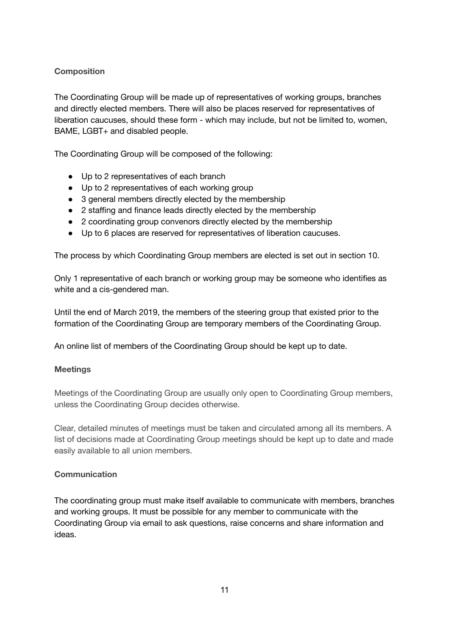#### **Composition**

The Coordinating Group will be made up of representatives of working groups, branches and directly elected members. There will also be places reserved for representatives of liberation caucuses, should these form - which may include, but not be limited to, women, BAME, LGBT+ and disabled people.

The Coordinating Group will be composed of the following:

- Up to 2 representatives of each branch
- Up to 2 representatives of each working group
- 3 general members directly elected by the membership
- 2 staffing and finance leads directly elected by the membership
- 2 coordinating group convenors directly elected by the membership
- Up to 6 places are reserved for representatives of liberation caucuses.

The process by which Coordinating Group members are elected is set out in section 10.

Only 1 representative of each branch or working group may be someone who identifies as white and a cis-gendered man.

Until the end of March 2019, the members of the steering group that existed prior to the formation of the Coordinating Group are temporary members of the Coordinating Group.

An online list of members of the Coordinating Group should be kept up to date.

#### **Meetings**

Meetings of the Coordinating Group are usually only open to Coordinating Group members, unless the Coordinating Group decides otherwise.

Clear, detailed minutes of meetings must be taken and circulated among all its members. A list of decisions made at Coordinating Group meetings should be kept up to date and made easily available to all union members.

#### **Communication**

The coordinating group must make itself available to communicate with members, branches and working groups. It must be possible for any member to communicate with the Coordinating Group via email to ask questions, raise concerns and share information and ideas.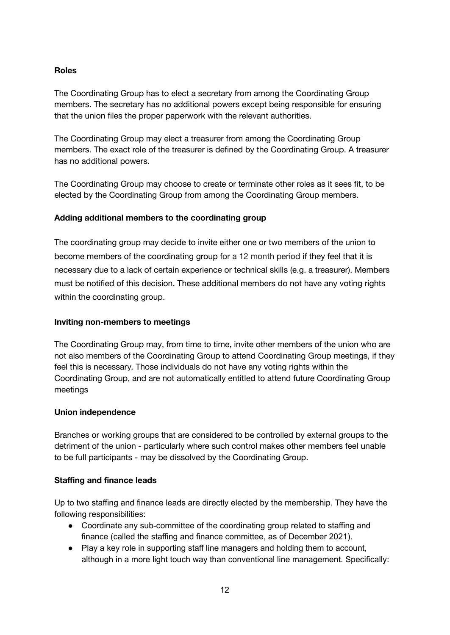#### **Roles**

The Coordinating Group has to elect a secretary from among the Coordinating Group members. The secretary has no additional powers except being responsible for ensuring that the union files the proper paperwork with the relevant authorities.

The Coordinating Group may elect a treasurer from among the Coordinating Group members. The exact role of the treasurer is defined by the Coordinating Group. A treasurer has no additional powers.

The Coordinating Group may choose to create or terminate other roles as it sees fit, to be elected by the Coordinating Group from among the Coordinating Group members.

#### **Adding additional members to the coordinating group**

The coordinating group may decide to invite either one or two members of the union to become members of the coordinating group for a 12 month period if they feel that it is necessary due to a lack of certain experience or technical skills (e.g. a treasurer). Members must be notified of this decision. These additional members do not have any voting rights within the coordinating group.

#### **Inviting non-members to meetings**

The Coordinating Group may, from time to time, invite other members of the union who are not also members of the Coordinating Group to attend Coordinating Group meetings, if they feel this is necessary. Those individuals do not have any voting rights within the Coordinating Group, and are not automatically entitled to attend future Coordinating Group meetings

#### **Union independence**

Branches or working groups that are considered to be controlled by external groups to the detriment of the union - particularly where such control makes other members feel unable to be full participants - may be dissolved by the Coordinating Group.

#### **Staffing and finance leads**

Up to two staffing and finance leads are directly elected by the membership. They have the following responsibilities:

- Coordinate any sub-committee of the coordinating group related to staffing and finance (called the staffing and finance committee, as of December 2021).
- Play a key role in supporting staff line managers and holding them to account, although in a more light touch way than conventional line management. Specifically: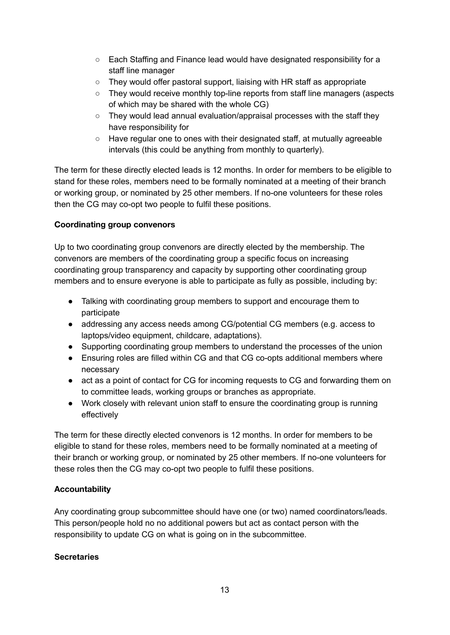- Each Staffing and Finance lead would have designated responsibility for a staff line manager
- They would offer pastoral support, liaising with HR staff as appropriate
- They would receive monthly top-line reports from staff line managers (aspects of which may be shared with the whole CG)
- They would lead annual evaluation/appraisal processes with the staff they have responsibility for
- Have regular one to ones with their designated staff, at mutually agreeable intervals (this could be anything from monthly to quarterly).

The term for these directly elected leads is 12 months. In order for members to be eligible to stand for these roles, members need to be formally nominated at a meeting of their branch or working group, or nominated by 25 other members. If no-one volunteers for these roles then the CG may co-opt two people to fulfil these positions.

#### **Coordinating group convenors**

Up to two coordinating group convenors are directly elected by the membership. The convenors are members of the coordinating group a specific focus on increasing coordinating group transparency and capacity by supporting other coordinating group members and to ensure everyone is able to participate as fully as possible, including by:

- Talking with coordinating group members to support and encourage them to participate
- addressing any access needs among CG/potential CG members (e.g. access to laptops/video equipment, childcare, adaptations).
- Supporting coordinating group members to understand the processes of the union
- Ensuring roles are filled within CG and that CG co-opts additional members where necessary
- act as a point of contact for CG for incoming requests to CG and forwarding them on to committee leads, working groups or branches as appropriate.
- Work closely with relevant union staff to ensure the coordinating group is running effectively

The term for these directly elected convenors is 12 months. In order for members to be eligible to stand for these roles, members need to be formally nominated at a meeting of their branch or working group, or nominated by 25 other members. If no-one volunteers for these roles then the CG may co-opt two people to fulfil these positions.

#### **Accountability**

Any coordinating group subcommittee should have one (or two) named coordinators/leads. This person/people hold no no additional powers but act as contact person with the responsibility to update CG on what is going on in the subcommittee.

#### **Secretaries**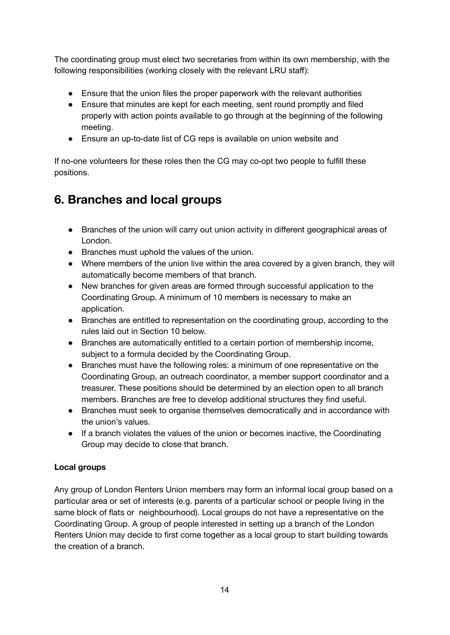The coordinating group must elect two secretaries from within its own membership, with the following responsibilities (working closely with the relevant LRU staff):

- Ensure that the union files the proper paperwork with the relevant authorities
- Ensure that minutes are kept for each meeting, sent round promptly and filed properly with action points available to go through at the beginning of the following meeting.
- Ensure an up-to-date list of CG reps is available on union website and

If no-one volunteers for these roles then the CG may co-opt two people to fulfill these positions.

# **6. Branches and local groups**

- Branches of the union will carry out union activity in different geographical areas of London.
- Branches must uphold the values of the union.
- Where members of the union live within the area covered by a given branch, they will automatically become members of that branch.
- New branches for given areas are formed through successful application to the Coordinating Group. A minimum of 10 members is necessary to make an application.
- Branches are entitled to representation on the coordinating group, according to the rules laid out in Section 10 below.
- Branches are automatically entitled to a certain portion of membership income, subject to a formula decided by the Coordinating Group.
- Branches must have the following roles: a minimum of one representative on the Coordinating Group, an outreach coordinator, a member support coordinator and a treasurer. These positions should be determined by an election open to all branch members. Branches are free to develop additional structures they find useful.
- Branches must seek to organise themselves democratically and in accordance with the union's values.
- If a branch violates the values of the union or becomes inactive, the Coordinating Group may decide to close that branch.

#### **Local groups**

Any group of London Renters Union members may form an informal local group based on a particular area or set of interests (e.g. parents of a particular school or people living in the same block of flats or neighbourhood). Local groups do not have a representative on the Coordinating Group. A group of people interested in setting up a branch of the London Renters Union may decide to first come together as a local group to start building towards the creation of a branch.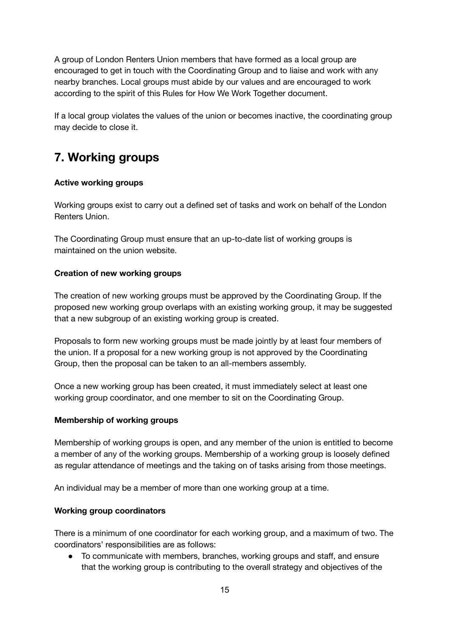A group of London Renters Union members that have formed as a local group are encouraged to get in touch with the Coordinating Group and to liaise and work with any nearby branches. Local groups must abide by our values and are encouraged to work according to the spirit of this Rules for How We Work Together document.

If a local group violates the values of the union or becomes inactive, the coordinating group may decide to close it.

# **7. Working groups**

#### **Active working groups**

Working groups exist to carry out a defined set of tasks and work on behalf of the London Renters Union.

The Coordinating Group must ensure that an up-to-date list of working groups is maintained on the union website.

#### **Creation of new working groups**

The creation of new working groups must be approved by the Coordinating Group. If the proposed new working group overlaps with an existing working group, it may be suggested that a new subgroup of an existing working group is created.

Proposals to form new working groups must be made jointly by at least four members of the union. If a proposal for a new working group is not approved by the Coordinating Group, then the proposal can be taken to an all-members assembly.

Once a new working group has been created, it must immediately select at least one working group coordinator, and one member to sit on the Coordinating Group.

#### **Membership of working groups**

Membership of working groups is open, and any member of the union is entitled to become a member of any of the working groups. Membership of a working group is loosely defined as regular attendance of meetings and the taking on of tasks arising from those meetings.

An individual may be a member of more than one working group at a time.

#### **Working group coordinators**

There is a minimum of one coordinator for each working group, and a maximum of two. The coordinators' responsibilities are as follows:

● To communicate with members, branches, working groups and staff, and ensure that the working group is contributing to the overall strategy and objectives of the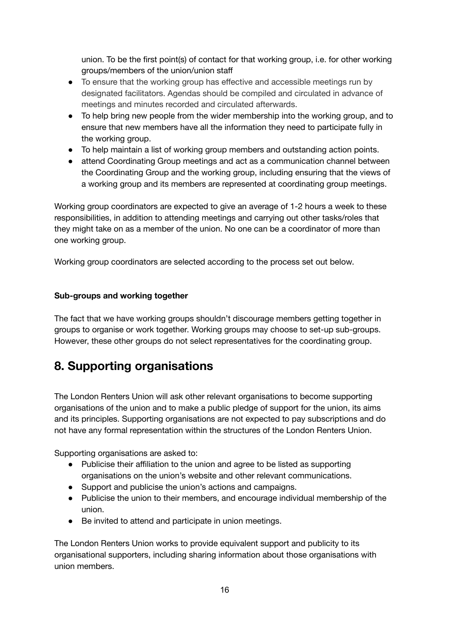union. To be the first point(s) of contact for that working group, i.e. for other working groups/members of the union/union staff

- To ensure that the working group has effective and accessible meetings run by designated facilitators. Agendas should be compiled and circulated in advance of meetings and minutes recorded and circulated afterwards.
- To help bring new people from the wider membership into the working group, and to ensure that new members have all the information they need to participate fully in the working group.
- To help maintain a list of working group members and outstanding action points.
- attend Coordinating Group meetings and act as a communication channel between the Coordinating Group and the working group, including ensuring that the views of a working group and its members are represented at coordinating group meetings.

Working group coordinators are expected to give an average of 1-2 hours a week to these responsibilities, in addition to attending meetings and carrying out other tasks/roles that they might take on as a member of the union. No one can be a coordinator of more than one working group.

Working group coordinators are selected according to the process set out below.

#### **Sub-groups and working together**

The fact that we have working groups shouldn't discourage members getting together in groups to organise or work together. Working groups may choose to set-up sub-groups. However, these other groups do not select representatives for the coordinating group.

# **8. Supporting organisations**

The London Renters Union will ask other relevant organisations to become supporting organisations of the union and to make a public pledge of support for the union, its aims and its principles. Supporting organisations are not expected to pay subscriptions and do not have any formal representation within the structures of the London Renters Union.

Supporting organisations are asked to:

- Publicise their affiliation to the union and agree to be listed as supporting organisations on the union's website and other relevant communications.
- Support and publicise the union's actions and campaigns.
- Publicise the union to their members, and encourage individual membership of the union.
- Be invited to attend and participate in union meetings.

The London Renters Union works to provide equivalent support and publicity to its organisational supporters, including sharing information about those organisations with union members.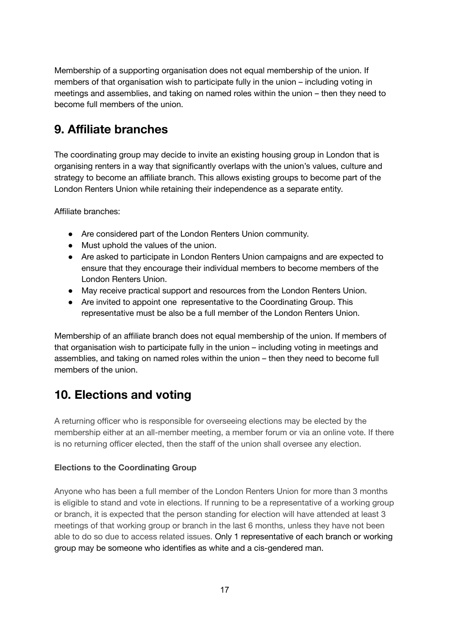Membership of a supporting organisation does not equal membership of the union. If members of that organisation wish to participate fully in the union – including voting in meetings and assemblies, and taking on named roles within the union – then they need to become full members of the union.

# **9. Affiliate branches**

The coordinating group may decide to invite an existing housing group in London that is organising renters in a way that significantly overlaps with the union's values, culture and strategy to become an affiliate branch. This allows existing groups to become part of the London Renters Union while retaining their independence as a separate entity.

Affiliate branches:

- Are considered part of the London Renters Union community.
- Must uphold the values of the union.
- Are asked to participate in London Renters Union campaigns and are expected to ensure that they encourage their individual members to become members of the London Renters Union.
- May receive practical support and resources from the London Renters Union.
- Are invited to appoint one representative to the Coordinating Group. This representative must be also be a full member of the London Renters Union.

Membership of an affiliate branch does not equal membership of the union. If members of that organisation wish to participate fully in the union – including voting in meetings and assemblies, and taking on named roles within the union – then they need to become full members of the union.

# **10. Elections and voting**

A returning officer who is responsible for overseeing elections may be elected by the membership either at an all-member meeting, a member forum or via an online vote. If there is no returning officer elected, then the staff of the union shall oversee any election.

#### **Elections to the Coordinating Group**

Anyone who has been a full member of the London Renters Union for more than 3 months is eligible to stand and vote in elections. If running to be a representative of a working group or branch, it is expected that the person standing for election will have attended at least 3 meetings of that working group or branch in the last 6 months, unless they have not been able to do so due to access related issues. Only 1 representative of each branch or working group may be someone who identifies as white and a cis-gendered man.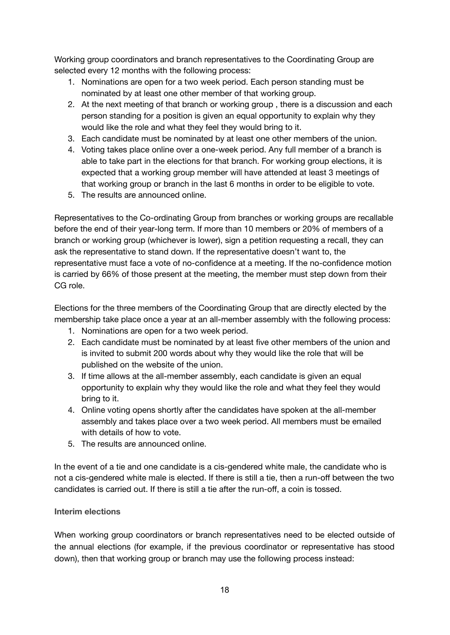Working group coordinators and branch representatives to the Coordinating Group are selected every 12 months with the following process:

- 1. Nominations are open for a two week period. Each person standing must be nominated by at least one other member of that working group.
- 2. At the next meeting of that branch or working group , there is a discussion and each person standing for a position is given an equal opportunity to explain why they would like the role and what they feel they would bring to it.
- 3. Each candidate must be nominated by at least one other members of the union.
- 4. Voting takes place online over a one-week period. Any full member of a branch is able to take part in the elections for that branch. For working group elections, it is expected that a working group member will have attended at least 3 meetings of that working group or branch in the last 6 months in order to be eligible to vote.
- 5. The results are announced online.

Representatives to the Co-ordinating Group from branches or working groups are recallable before the end of their year-long term. If more than 10 members or 20% of members of a branch or working group (whichever is lower), sign a petition requesting a recall, they can ask the representative to stand down. If the representative doesn't want to, the representative must face a vote of no-confidence at a meeting. If the no-confidence motion is carried by 66% of those present at the meeting, the member must step down from their CG role.

Elections for the three members of the Coordinating Group that are directly elected by the membership take place once a year at an all-member assembly with the following process:

- 1. Nominations are open for a two week period.
- 2. Each candidate must be nominated by at least five other members of the union and is invited to submit 200 words about why they would like the role that will be published on the website of the union.
- 3. If time allows at the all-member assembly, each candidate is given an equal opportunity to explain why they would like the role and what they feel they would bring to it.
- 4. Online voting opens shortly after the candidates have spoken at the all-member assembly and takes place over a two week period. All members must be emailed with details of how to vote.
- 5. The results are announced online.

In the event of a tie and one candidate is a cis-gendered white male, the candidate who is not a cis-gendered white male is elected. If there is still a tie, then a run-off between the two candidates is carried out. If there is still a tie after the run-off, a coin is tossed.

#### **Interim elections**

When working group coordinators or branch representatives need to be elected outside of the annual elections (for example, if the previous coordinator or representative has stood down), then that working group or branch may use the following process instead: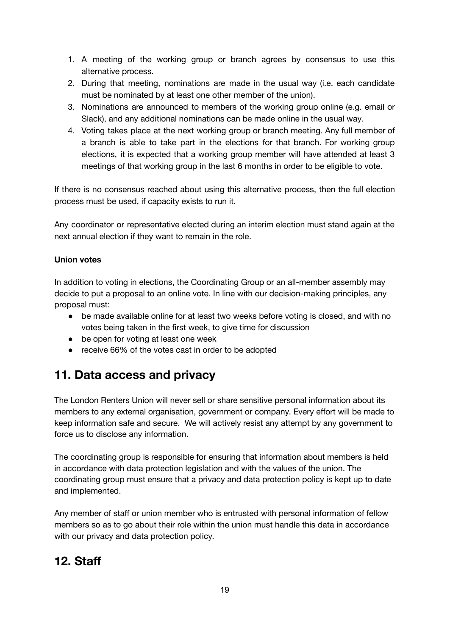- 1. A meeting of the working group or branch agrees by consensus to use this alternative process.
- 2. During that meeting, nominations are made in the usual way (i.e. each candidate must be nominated by at least one other member of the union).
- 3. Nominations are announced to members of the working group online (e.g. email or Slack), and any additional nominations can be made online in the usual way.
- 4. Voting takes place at the next working group or branch meeting. Any full member of a branch is able to take part in the elections for that branch. For working group elections, it is expected that a working group member will have attended at least 3 meetings of that working group in the last 6 months in order to be eligible to vote.

If there is no consensus reached about using this alternative process, then the full election process must be used, if capacity exists to run it.

Any coordinator or representative elected during an interim election must stand again at the next annual election if they want to remain in the role.

#### **Union votes**

In addition to voting in elections, the Coordinating Group or an all-member assembly may decide to put a proposal to an online vote. In line with our decision-making principles, any proposal must:

- be made available online for at least two weeks before voting is closed, and with no votes being taken in the first week, to give time for discussion
- be open for voting at least one week
- receive 66% of the votes cast in order to be adopted

# **11. Data access and privacy**

The London Renters Union will never sell or share sensitive personal information about its members to any external organisation, government or company. Every effort will be made to keep information safe and secure. We will actively resist any attempt by any government to force us to disclose any information.

The coordinating group is responsible for ensuring that information about members is held in accordance with data protection legislation and with the values of the union. The coordinating group must ensure that a privacy and data protection policy is kept up to date and implemented.

Any member of staff or union member who is entrusted with personal information of fellow members so as to go about their role within the union must handle this data in accordance with our privacy and data protection policy.

### **12. Staff**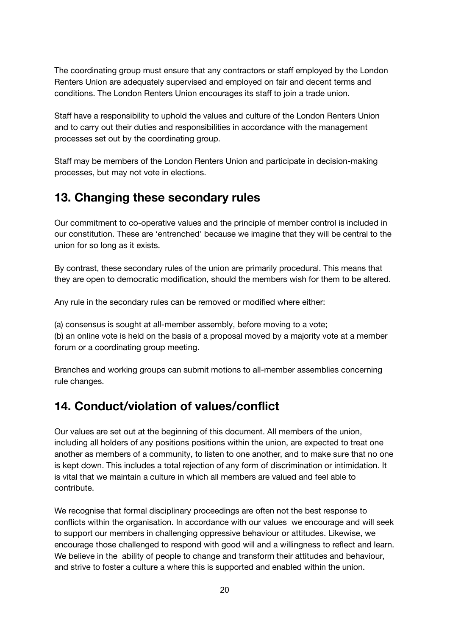The coordinating group must ensure that any contractors or staff employed by the London Renters Union are adequately supervised and employed on fair and decent terms and conditions. The London Renters Union encourages its staff to join a trade union.

Staff have a responsibility to uphold the values and culture of the London Renters Union and to carry out their duties and responsibilities in accordance with the management processes set out by the coordinating group.

Staff may be members of the London Renters Union and participate in decision-making processes, but may not vote in elections.

### **13. Changing these secondary rules**

Our commitment to co-operative values and the principle of member control is included in our constitution. These are 'entrenched' because we imagine that they will be central to the union for so long as it exists.

By contrast, these secondary rules of the union are primarily procedural. This means that they are open to democratic modification, should the members wish for them to be altered.

Any rule in the secondary rules can be removed or modified where either:

(a) consensus is sought at all-member assembly, before moving to a vote;

(b) an online vote is held on the basis of a proposal moved by a majority vote at a member forum or a coordinating group meeting.

Branches and working groups can submit motions to all-member assemblies concerning rule changes.

# **14. Conduct/violation of values/conflict**

Our values are set out at the beginning of this document. All members of the union, including all holders of any positions positions within the union, are expected to treat one another as members of a community, to listen to one another, and to make sure that no one is kept down. This includes a total rejection of any form of discrimination or intimidation. It is vital that we maintain a culture in which all members are valued and feel able to contribute.

We recognise that formal disciplinary proceedings are often not the best response to conflicts within the organisation. In accordance with our values we encourage and will seek to support our members in challenging oppressive behaviour or attitudes. Likewise, we encourage those challenged to respond with good will and a willingness to reflect and learn. We believe in the ability of people to change and transform their attitudes and behaviour, and strive to foster a culture a where this is supported and enabled within the union.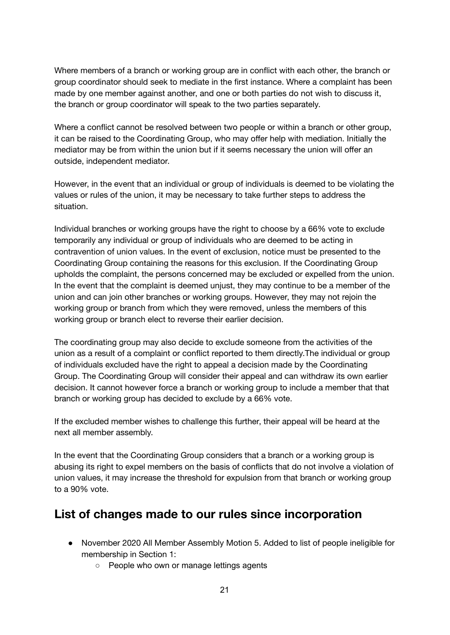Where members of a branch or working group are in conflict with each other, the branch or group coordinator should seek to mediate in the first instance. Where a complaint has been made by one member against another, and one or both parties do not wish to discuss it, the branch or group coordinator will speak to the two parties separately.

Where a conflict cannot be resolved between two people or within a branch or other group, it can be raised to the Coordinating Group, who may offer help with mediation. Initially the mediator may be from within the union but if it seems necessary the union will offer an outside, independent mediator.

However, in the event that an individual or group of individuals is deemed to be violating the values or rules of the union, it may be necessary to take further steps to address the situation.

Individual branches or working groups have the right to choose by a 66% vote to exclude temporarily any individual or group of individuals who are deemed to be acting in contravention of union values. In the event of exclusion, notice must be presented to the Coordinating Group containing the reasons for this exclusion. If the Coordinating Group upholds the complaint, the persons concerned may be excluded or expelled from the union. In the event that the complaint is deemed unjust, they may continue to be a member of the union and can join other branches or working groups. However, they may not rejoin the working group or branch from which they were removed, unless the members of this working group or branch elect to reverse their earlier decision.

The coordinating group may also decide to exclude someone from the activities of the union as a result of a complaint or conflict reported to them directly.The individual or group of individuals excluded have the right to appeal a decision made by the Coordinating Group. The Coordinating Group will consider their appeal and can withdraw its own earlier decision. It cannot however force a branch or working group to include a member that that branch or working group has decided to exclude by a 66% vote.

If the excluded member wishes to challenge this further, their appeal will be heard at the next all member assembly.

In the event that the Coordinating Group considers that a branch or a working group is abusing its right to expel members on the basis of conflicts that do not involve a violation of union values, it may increase the threshold for expulsion from that branch or working group to a 90% vote.

### **List of changes made to our rules since incorporation**

- November 2020 All Member Assembly Motion 5. Added to list of people ineligible for membership in Section 1:
	- People who own or manage lettings agents